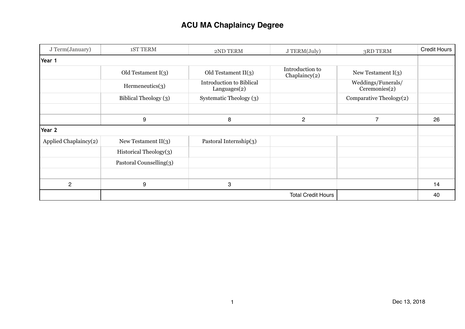# **ACU MA Chaplaincy Degree**

| J Term(January)       | <b>1ST TERM</b>           | 2ND TERM                                        | J TERM(July)                        | 3RD TERM                            | <b>Credit Hours</b> |
|-----------------------|---------------------------|-------------------------------------------------|-------------------------------------|-------------------------------------|---------------------|
| Year 1                |                           |                                                 |                                     |                                     |                     |
|                       | Old Testament I(3)        | Old Testament $II(3)$                           | Introduction to<br>Chaplaincy $(2)$ | New Testament $I(3)$                |                     |
|                       | $H$ ermeneutics $(3)$     | <b>Introduction to Biblical</b><br>Languages(2) |                                     | Weddings/Funerals/<br>Ceremonies(2) |                     |
|                       | Biblical Theology (3)     | Systematic Theology (3)                         |                                     | Comparative Theology(2)             |                     |
|                       |                           |                                                 |                                     |                                     |                     |
|                       | 9                         | 8                                               | $\mathbf{2}$                        | $\overline{7}$                      | 26                  |
| Year 2                |                           |                                                 |                                     |                                     |                     |
| Applied Chaplaincy(2) | New Testament $II(3)$     | Pastoral Internship(3)                          |                                     |                                     |                     |
|                       | Historical Theology(3)    |                                                 |                                     |                                     |                     |
|                       | Pastoral Counselling(3)   |                                                 |                                     |                                     |                     |
|                       |                           |                                                 |                                     |                                     |                     |
| $\overline{c}$        | 9                         | 3                                               |                                     |                                     | 14                  |
|                       | <b>Total Credit Hours</b> |                                                 |                                     |                                     | 40                  |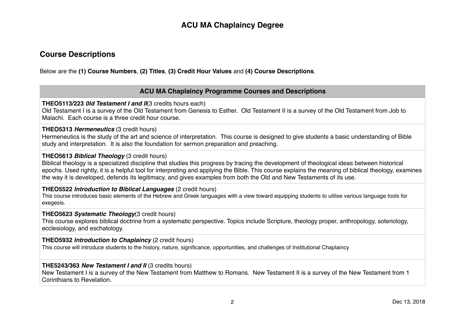# **ACU MA Chaplaincy Degree**

### **Course Descriptions**

Below are the **(1) Course Numbers**, **(2) Titles**, **(3) Credit Hour Values** and **(4) Course Descriptions**.

### **ACU MA Chaplaincy Programme Courses and Descriptions**

**THEO5113/223** *0ld Testament I and II*(3 credits hours each)

Old Testament I is a survey of the Old Testament from Genesis to Esther. Old Testament II is a survey of the Old Testament from Job to Malachi. Each course is a three credit hour course.

#### **THEO5313** *Hermeneutics* (3 credit hours)

Hermeneutics is the study of the art and science of interpretation. This course is designed to give students a basic understanding of Bible study and interpretation. It is also the foundation for sermon preparation and preaching.

#### **THEO5613** *Biblical Theology* (3 credit hours)

Biblical theology is a specialized discipline that studies this progress by tracing the development of theological ideas between historical epochs. Used rightly, it is a helpful tool for interpreting and applying the Bible. This course explains the meaning of biblical theology, examines the way it is developed, defends its legitimacy, and gives examples from both the Old and New Testaments of its use.

#### **THEO5522** *Introduction to Biblical Languages* (2 credit hours)

This course introduces basic elements of the Hebrew and Greek languages with a view toward equipping students to utilise various language tools for exegesis.

#### **THEO5623** *Systematic Theology*(3 credit hours)

This course explores biblical doctrine from a systematic perspective. Topics include Scripture, theology proper, anthropology, soteriology, ecclesiology, and eschatology.

#### **THEO5932** *Introduction to Chaplaincy* (2 credit hours)

This course will introduce students to the history, nature, significance, opportunities, and challenges of Institutional Chaplaincy

#### **THE5243/363** *New Testament I and II* (3 credits hours)

New Testament I is a survey of the New Testament from Matthew to Romans. New Testament II is a survey of the New Testament from 1 Corinthians to Revelation.